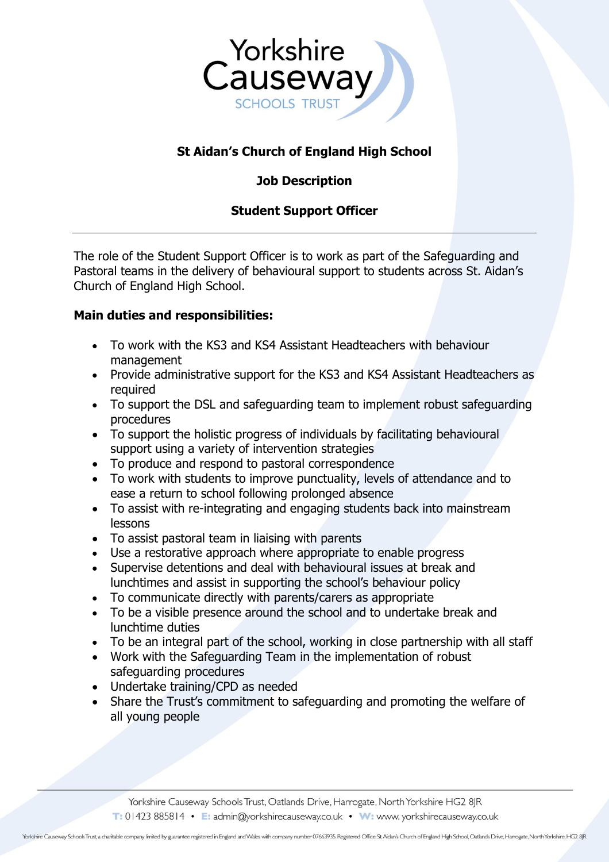

# **St Aidan's Church of England High School**

## **Job Description**

## **Student Support Officer**

The role of the Student Support Officer is to work as part of the Safeguarding and Pastoral teams in the delivery of behavioural support to students across St. Aidan's Church of England High School.

#### **Main duties and responsibilities:**

- To work with the KS3 and KS4 Assistant Headteachers with behaviour management
- Provide administrative support for the KS3 and KS4 Assistant Headteachers as required
- To support the DSL and safeguarding team to implement robust safeguarding procedures
- To support the holistic progress of individuals by facilitating behavioural support using a variety of intervention strategies
- To produce and respond to pastoral correspondence
- To work with students to improve punctuality, levels of attendance and to ease a return to school following prolonged absence
- To assist with re-integrating and engaging students back into mainstream lessons
- To assist pastoral team in liaising with parents
- Use a restorative approach where appropriate to enable progress
- Supervise detentions and deal with behavioural issues at break and lunchtimes and assist in supporting the school's behaviour policy
- To communicate directly with parents/carers as appropriate
- To be a visible presence around the school and to undertake break and lunchtime duties
- To be an integral part of the school, working in close partnership with all staff
- Work with the Safeguarding Team in the implementation of robust safeguarding procedures
- Undertake training/CPD as needed
- Share the Trust's commitment to safeguarding and promoting the welfare of all young people

Yorkshire Causeway Schools Trust, Oatlands Drive, Harrogate, North Yorkshire HG2 8JR T: 01423 885814 • E: admin@yorkshirecauseway.co.uk • W: www. yorkshirecauseway.co.uk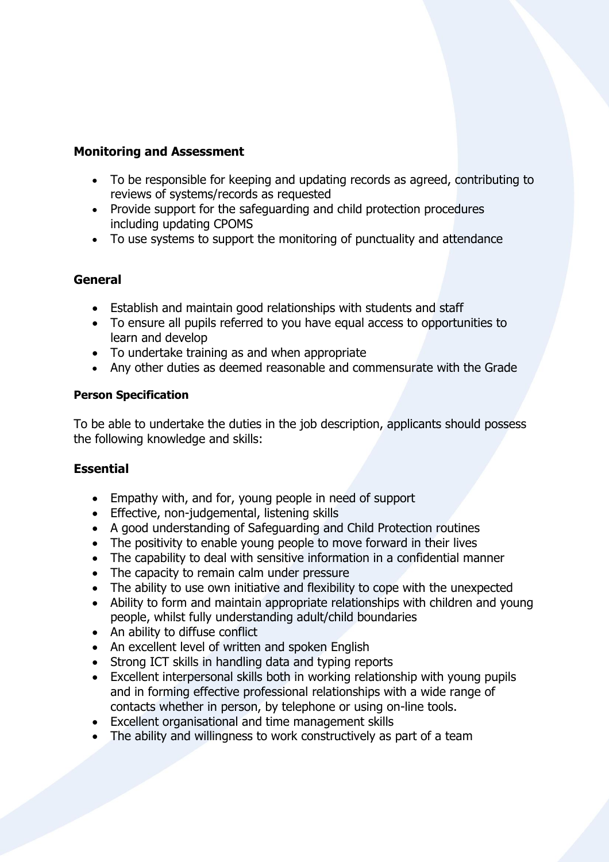#### **Monitoring and Assessment**

- To be responsible for keeping and updating records as agreed, contributing to reviews of systems/records as requested
- Provide support for the safeguarding and child protection procedures including updating CPOMS
- To use systems to support the monitoring of punctuality and attendance

#### **General**

- Establish and maintain good relationships with students and staff
- To ensure all pupils referred to you have equal access to opportunities to learn and develop
- To undertake training as and when appropriate
- Any other duties as deemed reasonable and commensurate with the Grade

#### **Person Specification**

To be able to undertake the duties in the job description, applicants should possess the following knowledge and skills:

#### **Essential**

- Empathy with, and for, young people in need of support
- Effective, non-judgemental, listening skills
- A good understanding of Safeguarding and Child Protection routines
- The positivity to enable young people to move forward in their lives
- The capability to deal with sensitive information in a confidential manner
- The capacity to remain calm under pressure
- The ability to use own initiative and flexibility to cope with the unexpected
- Ability to form and maintain appropriate relationships with children and young people, whilst fully understanding adult/child boundaries
- An ability to diffuse conflict
- An excellent level of written and spoken English
- Strong ICT skills in handling data and typing reports
- Excellent interpersonal skills both in working relationship with young pupils and in forming effective professional relationships with a wide range of contacts whether in person, by telephone or using on-line tools.
- Excellent organisational and time management skills
- The ability and willingness to work constructively as part of a team